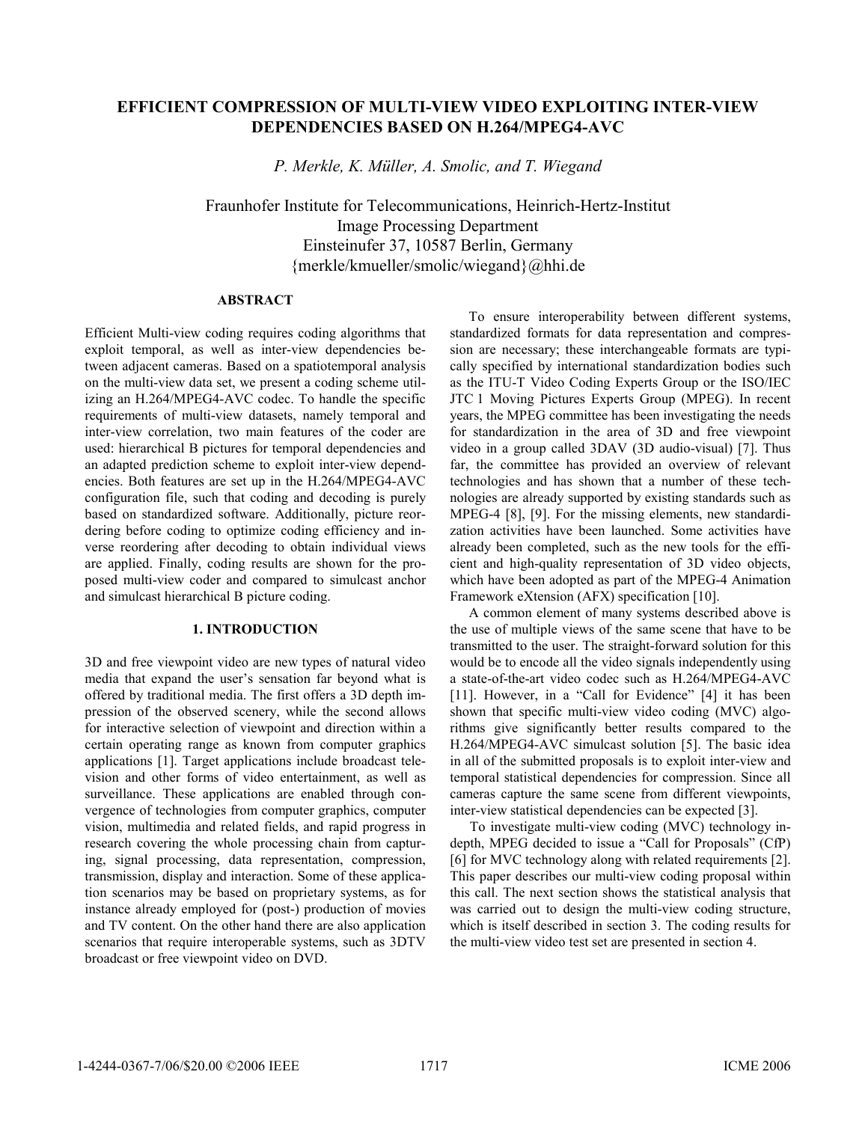# **EFFICIENT COMPRESSION OF MULTI-VIEW VIDEO EXPLOITING INTER-VIEW DEPENDENCIES BASED ON H.264/MPEG4-AVC**

*P. Merkle, K. Müller, A. Smolic, and T. Wiegand* 

Fraunhofer Institute for Telecommunications, Heinrich-Hertz-Institut Image Processing Department Einsteinufer 37, 10587 Berlin, Germany {merkle/kmueller/smolic/wiegand}@hhi.de

## **ABSTRACT**

Efficient Multi-view coding requires coding algorithms that exploit temporal, as well as inter-view dependencies between adjacent cameras. Based on a spatiotemporal analysis on the multi-view data set, we present a coding scheme utilizing an H.264/MPEG4-AVC codec. To handle the specific requirements of multi-view datasets, namely temporal and inter-view correlation, two main features of the coder are used: hierarchical B pictures for temporal dependencies and an adapted prediction scheme to exploit inter-view dependencies. Both features are set up in the H.264/MPEG4-AVC configuration file, such that coding and decoding is purely based on standardized software. Additionally, picture reordering before coding to optimize coding efficiency and inverse reordering after decoding to obtain individual views are applied. Finally, coding results are shown for the proposed multi-view coder and compared to simulcast anchor and simulcast hierarchical B picture coding.

# **1. INTRODUCTION**

3D and free viewpoint video are new types of natural video media that expand the user's sensation far beyond what is offered by traditional media. The first offers a 3D depth impression of the observed scenery, while the second allows for interactive selection of viewpoint and direction within a certain operating range as known from computer graphics applications [1]. Target applications include broadcast television and other forms of video entertainment, as well as surveillance. These applications are enabled through convergence of technologies from computer graphics, computer vision, multimedia and related fields, and rapid progress in research covering the whole processing chain from capturing, signal processing, data representation, compression, transmission, display and interaction. Some of these application scenarios may be based on proprietary systems, as for instance already employed for (post-) production of movies and TV content. On the other hand there are also application scenarios that require interoperable systems, such as 3DTV broadcast or free viewpoint video on DVD.

To ensure interoperability between different systems, standardized formats for data representation and compression are necessary; these interchangeable formats are typically specified by international standardization bodies such as the ITU-T Video Coding Experts Group or the ISO/IEC JTC 1 Moving Pictures Experts Group (MPEG). In recent years, the MPEG committee has been investigating the needs for standardization in the area of 3D and free viewpoint video in a group called 3DAV (3D audio-visual) [7]. Thus far, the committee has provided an overview of relevant technologies and has shown that a number of these technologies are already supported by existing standards such as MPEG-4 [8], [9]. For the missing elements, new standardization activities have been launched. Some activities have already been completed, such as the new tools for the efficient and high-quality representation of 3D video objects, which have been adopted as part of the MPEG-4 Animation Framework eXtension (AFX) specification [10].

A common element of many systems described above is the use of multiple views of the same scene that have to be transmitted to the user. The straight-forward solution for this would be to encode all the video signals independently using a state-of-the-art video codec such as H.264/MPEG4-AVC [11]. However, in a "Call for Evidence" [4] it has been shown that specific multi-view video coding (MVC) algorithms give significantly better results compared to the H.264/MPEG4-AVC simulcast solution [5]. The basic idea in all of the submitted proposals is to exploit inter-view and temporal statistical dependencies for compression. Since all cameras capture the same scene from different viewpoints, inter-view statistical dependencies can be expected [3].

To investigate multi-view coding (MVC) technology indepth, MPEG decided to issue a "Call for Proposals" (CfP) [6] for MVC technology along with related requirements [2]. This paper describes our multi-view coding proposal within this call. The next section shows the statistical analysis that was carried out to design the multi-view coding structure, which is itself described in section 3. The coding results for the multi-view video test set are presented in section 4.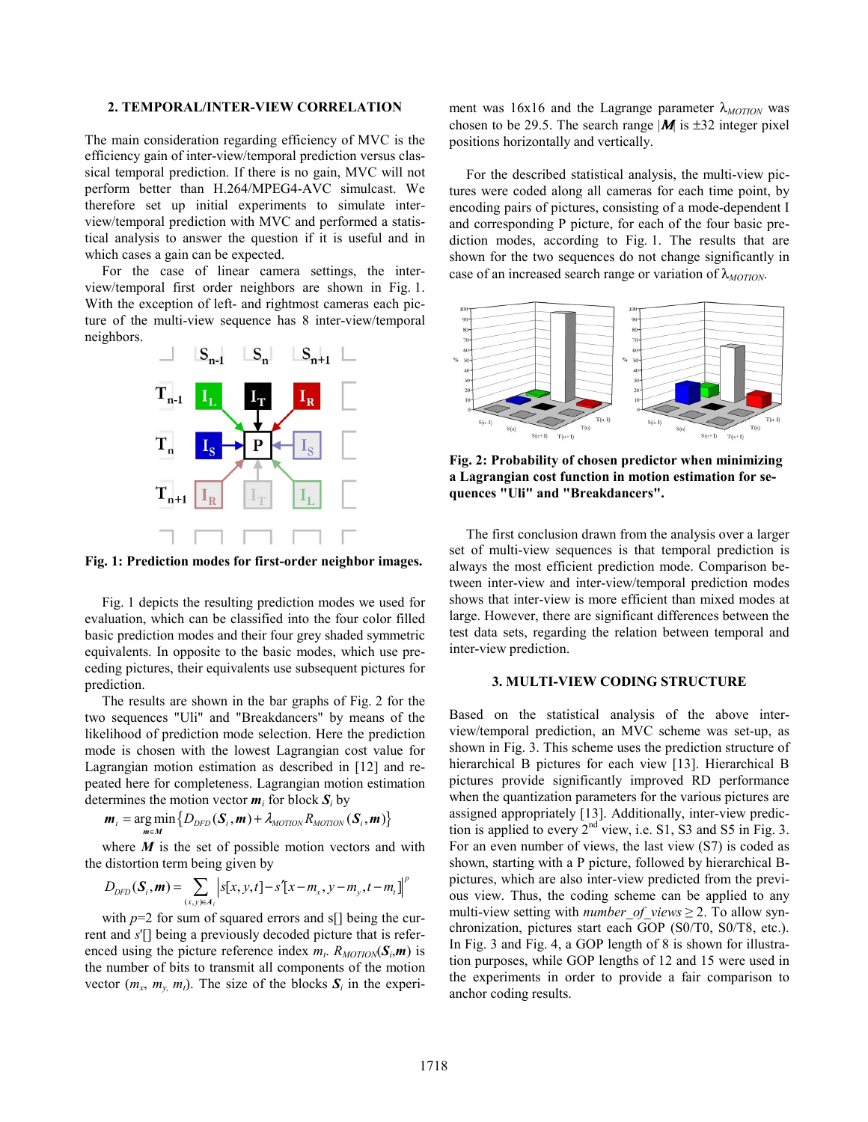### **2. TEMPORAL/INTER-VIEW CORRELATION**

The main consideration regarding efficiency of MVC is the efficiency gain of inter-view/temporal prediction versus classical temporal prediction. If there is no gain, MVC will not perform better than H.264/MPEG4-AVC simulcast. We therefore set up initial experiments to simulate interview/temporal prediction with MVC and performed a statistical analysis to answer the question if it is useful and in which cases a gain can be expected.

For the case of linear camera settings, the interview/temporal first order neighbors are shown in Fig. 1. With the exception of left- and rightmost cameras each picture of the multi-view sequence has 8 inter-view/temporal neighbors.



**Fig. 1: Prediction modes for first-order neighbor images.** 

Fig. 1 depicts the resulting prediction modes we used for evaluation, which can be classified into the four color filled basic prediction modes and their four grey shaded symmetric equivalents. In opposite to the basic modes, which use preceding pictures, their equivalents use subsequent pictures for prediction.

The results are shown in the bar graphs of Fig. 2 for the two sequences "Uli" and "Breakdancers" by means of the likelihood of prediction mode selection. Here the prediction mode is chosen with the lowest Lagrangian cost value for Lagrangian motion estimation as described in [12] and repeated here for completeness. Lagrangian motion estimation determines the motion vector  $m_i$  for block  $S_i$  by

$$
\boldsymbol{m}_{i} = \underset{\boldsymbol{m} \in \boldsymbol{M}}{\arg \min} \left\{ D_{DFD}(\boldsymbol{S}_{i}, \boldsymbol{m}) + \lambda_{MOTION} R_{MOTION}(\boldsymbol{S}_{i}, \boldsymbol{m}) \right\}
$$

where  $M$  is the set of possible motion vectors and with the distortion term being given by

$$
D_{DFD}(\mathbf{S}_{i}, \mathbf{m}) = \sum_{(x, y) \in A_{i}} |s[x, y, t] - s'[x - m_{x}, y - m_{y}, t - m_{t}]|^{p}
$$

with  $p=2$  for sum of squared errors and s[] being the current and *s*'[] being a previously decoded picture that is referenced using the picture reference index  $m_t$ .  $R_{MOTION}(S_t, m)$  is the number of bits to transmit all components of the motion vector  $(m_x, m_y, m_t)$ . The size of the blocks  $S_i$  in the experiment was 16x16 and the Lagrange parameter λ<sub>MOTION</sub> was chosen to be 29.5. The search range  $|M|$  is  $\pm$ 32 integer pixel positions horizontally and vertically.

For the described statistical analysis, the multi-view pictures were coded along all cameras for each time point, by encoding pairs of pictures, consisting of a mode-dependent I and corresponding P picture, for each of the four basic prediction modes, according to Fig. 1. The results that are shown for the two sequences do not change significantly in case of an increased search range or variation of  $\lambda_{MOTION}$ .



**Fig. 2: Probability of chosen predictor when minimizing a Lagrangian cost function in motion estimation for sequences "Uli" and "Breakdancers".** 

The first conclusion drawn from the analysis over a larger set of multi-view sequences is that temporal prediction is always the most efficient prediction mode. Comparison between inter-view and inter-view/temporal prediction modes shows that inter-view is more efficient than mixed modes at large. However, there are significant differences between the test data sets, regarding the relation between temporal and inter-view prediction.

## **3. MULTI-VIEW CODING STRUCTURE**

Based on the statistical analysis of the above interview/temporal prediction, an MVC scheme was set-up, as shown in Fig. 3. This scheme uses the prediction structure of hierarchical B pictures for each view [13]. Hierarchical B pictures provide significantly improved RD performance when the quantization parameters for the various pictures are assigned appropriately [13]. Additionally, inter-view prediction is applied to every 2nd view, i.e. S1, S3 and S5 in Fig. 3. For an even number of views, the last view (S7) is coded as shown, starting with a P picture, followed by hierarchical Bpictures, which are also inter-view predicted from the previous view. Thus, the coding scheme can be applied to any multi-view setting with *number of views*  $\geq$  2. To allow synchronization, pictures start each GOP (S0/T0, S0/T8, etc.). In Fig. 3 and Fig. 4, a GOP length of 8 is shown for illustration purposes, while GOP lengths of 12 and 15 were used in the experiments in order to provide a fair comparison to anchor coding results.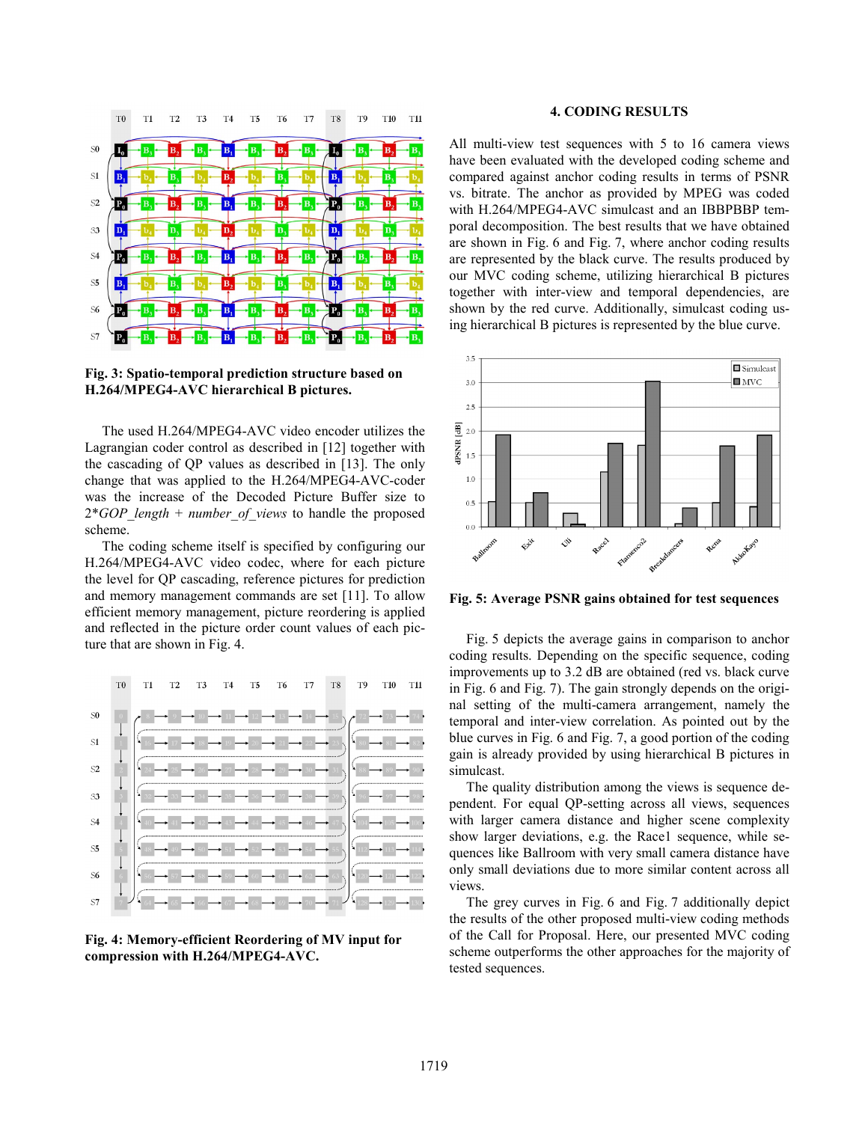

**Fig. 3: Spatio-temporal prediction structure based on H.264/MPEG4-AVC hierarchical B pictures.** 

The used H.264/MPEG4-AVC video encoder utilizes the Lagrangian coder control as described in [12] together with the cascading of QP values as described in [13]. The only change that was applied to the H.264/MPEG4-AVC-coder was the increase of the Decoded Picture Buffer size to 2\**GOP\_length* + *number\_of\_views* to handle the proposed scheme.

The coding scheme itself is specified by configuring our H.264/MPEG4-AVC video codec, where for each picture the level for QP cascading, reference pictures for prediction and memory management commands are set [11]. To allow efficient memory management, picture reordering is applied and reflected in the picture order count values of each picture that are shown in Fig. 4.



**Fig. 4: Memory-efficient Reordering of MV input for compression with H.264/MPEG4-AVC.** 

## **4. CODING RESULTS**

All multi-view test sequences with 5 to 16 camera views have been evaluated with the developed coding scheme and compared against anchor coding results in terms of PSNR vs. bitrate. The anchor as provided by MPEG was coded with H.264/MPEG4-AVC simulcast and an IBBPBBP temporal decomposition. The best results that we have obtained are shown in Fig. 6 and Fig. 7, where anchor coding results are represented by the black curve. The results produced by our MVC coding scheme, utilizing hierarchical B pictures together with inter-view and temporal dependencies, are shown by the red curve. Additionally, simulcast coding using hierarchical B pictures is represented by the blue curve.



**Fig. 5: Average PSNR gains obtained for test sequences** 

Fig. 5 depicts the average gains in comparison to anchor coding results. Depending on the specific sequence, coding improvements up to 3.2 dB are obtained (red vs. black curve in Fig. 6 and Fig. 7). The gain strongly depends on the original setting of the multi-camera arrangement, namely the temporal and inter-view correlation. As pointed out by the blue curves in Fig. 6 and Fig. 7, a good portion of the coding gain is already provided by using hierarchical B pictures in simulcast.

The quality distribution among the views is sequence dependent. For equal QP-setting across all views, sequences with larger camera distance and higher scene complexity show larger deviations, e.g. the Race1 sequence, while sequences like Ballroom with very small camera distance have only small deviations due to more similar content across all views.

The grey curves in Fig. 6 and Fig. 7 additionally depict the results of the other proposed multi-view coding methods of the Call for Proposal. Here, our presented MVC coding scheme outperforms the other approaches for the majority of tested sequences.